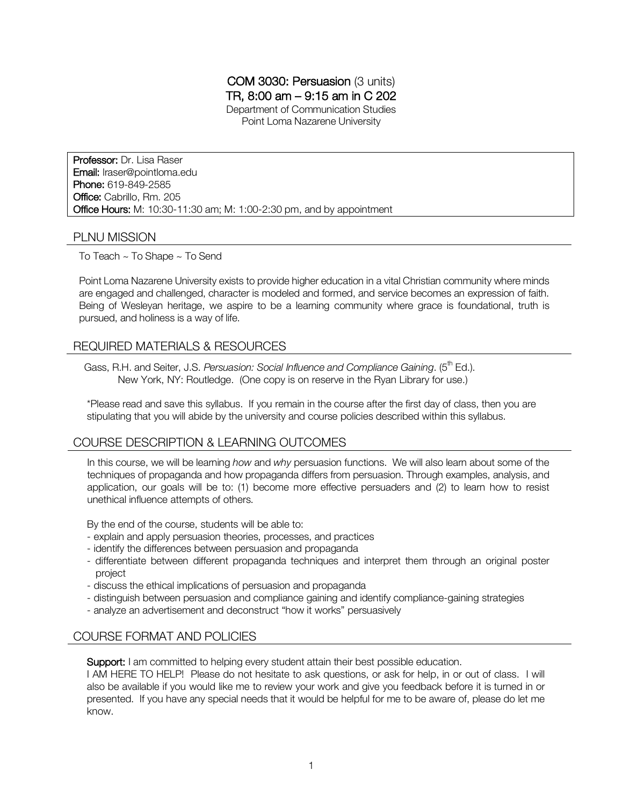# COM 3030: Persuasion (3 units) TR, 8:00 am – 9:15 am in C 202

Department of Communication Studies Point Loma Nazarene University

Professor: Dr. Lisa Raser Email: lraser@pointloma.edu Phone: 619-849-2585 Office: Cabrillo, Rm. 205 Office Hours: M: 10:30-11:30 am; M: 1:00-2:30 pm, and by appointment

## PLNU MISSION

To Teach ~ To Shape ~ To Send

Point Loma Nazarene University exists to provide higher education in a vital Christian community where minds are engaged and challenged, character is modeled and formed, and service becomes an expression of faith. Being of Wesleyan heritage, we aspire to be a learning community where grace is foundational, truth is pursued, and holiness is a way of life.

# REQUIRED MATERIALS & RESOURCES

Gass, R.H. and Seiter, J.S. *Persuasion: Social Influence and Compliance Gaining.* (5<sup>th</sup> Ed.). New York, NY: Routledge. (One copy is on reserve in the Ryan Library for use.)

\*Please read and save this syllabus. If you remain in the course after the first day of class, then you are stipulating that you will abide by the university and course policies described within this syllabus.

## COURSE DESCRIPTION & LEARNING OUTCOMES

In this course, we will be learning *how* and *why* persuasion functions. We will also learn about some of the techniques of propaganda and how propaganda differs from persuasion. Through examples, analysis, and application, our goals will be to: (1) become more effective persuaders and (2) to learn how to resist unethical influence attempts of others.

By the end of the course, students will be able to:

- explain and apply persuasion theories, processes, and practices
- identify the differences between persuasion and propaganda
- differentiate between different propaganda techniques and interpret them through an original poster project
- discuss the ethical implications of persuasion and propaganda
- distinguish between persuasion and compliance gaining and identify compliance-gaining strategies
- analyze an advertisement and deconstruct "how it works" persuasively

# COURSE FORMAT AND POLICIES

Support: I am committed to helping every student attain their best possible education.

I AM HERE TO HELP! Please do not hesitate to ask questions, or ask for help, in or out of class. I will also be available if you would like me to review your work and give you feedback before it is turned in or presented. If you have any special needs that it would be helpful for me to be aware of, please do let me know.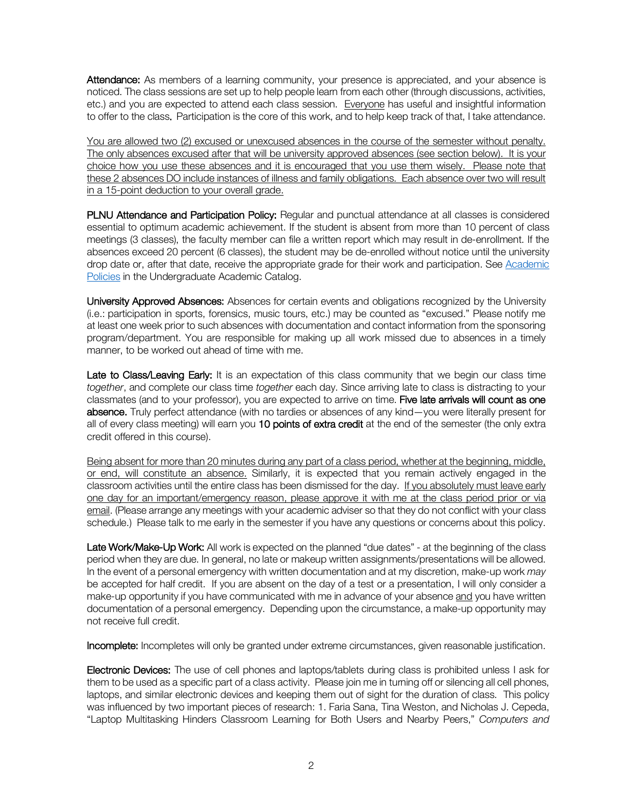Attendance: As members of a learning community, your presence is appreciated, and your absence is noticed. The class sessions are set up to help people learn from each other (through discussions, activities, etc.) and you are expected to attend each class session. Everyone has useful and insightful information to offer to the class. Participation is the core of this work, and to help keep track of that, I take attendance.

You are allowed two (2) excused or unexcused absences in the course of the semester without penalty. The only absences excused after that will be university approved absences (see section below). It is your choice how you use these absences and it is encouraged that you use them wisely. Please note that these 2 absences DO include instances of illness and family obligations. Each absence over two will result in a 15-point deduction to your overall grade.

PLNU Attendance and Participation Policy: Regular and punctual attendance at all classes is considered essential to optimum academic achievement. If the student is absent from more than 10 percent of class meetings (3 classes), the faculty member can file a written report which may result in de-enrollment. If the absences exceed 20 percent (6 classes), the student may be de-enrolled without notice until the university drop date or, after that date, receive the appropriate grade for their work and participation. See Academic Policies in the Undergraduate Academic Catalog.

University Approved Absences: Absences for certain events and obligations recognized by the University (i.e.: participation in sports, forensics, music tours, etc.) may be counted as "excused." Please notify me at least one week prior to such absences with documentation and contact information from the sponsoring program/department. You are responsible for making up all work missed due to absences in a timely manner, to be worked out ahead of time with me.

Late to Class/Leaving Early: It is an expectation of this class community that we begin our class time *together*, and complete our class time *together* each day. Since arriving late to class is distracting to your classmates (and to your professor), you are expected to arrive on time. Five late arrivals will count as one absence. Truly perfect attendance (with no tardies or absences of any kind—you were literally present for all of every class meeting) will earn you 10 points of extra credit at the end of the semester (the only extra credit offered in this course).

Being absent for more than 20 minutes during any part of a class period, whether at the beginning, middle, or end, will constitute an absence. Similarly, it is expected that you remain actively engaged in the classroom activities until the entire class has been dismissed for the day. If you absolutely must leave early one day for an important/emergency reason, please approve it with me at the class period prior or via email. (Please arrange any meetings with your academic adviser so that they do not conflict with your class schedule.) Please talk to me early in the semester if you have any questions or concerns about this policy.

Late Work/Make-Up Work: All work is expected on the planned "due dates" - at the beginning of the class period when they are due. In general, no late or makeup written assignments/presentations will be allowed. In the event of a personal emergency with written documentation and at my discretion, make-up work *may* be accepted for half credit. If you are absent on the day of a test or a presentation, I will only consider a make-up opportunity if you have communicated with me in advance of your absence and you have written documentation of a personal emergency. Depending upon the circumstance, a make-up opportunity may not receive full credit.

Incomplete: Incompletes will only be granted under extreme circumstances, given reasonable justification.

Electronic Devices: The use of cell phones and laptops/tablets during class is prohibited unless I ask for them to be used as a specific part of a class activity. Please join me in turning off or silencing all cell phones, laptops, and similar electronic devices and keeping them out of sight for the duration of class. This policy was influenced by two important pieces of research: 1. Faria Sana, Tina Weston, and Nicholas J. Cepeda, "Laptop Multitasking Hinders Classroom Learning for Both Users and Nearby Peers," *Computers and*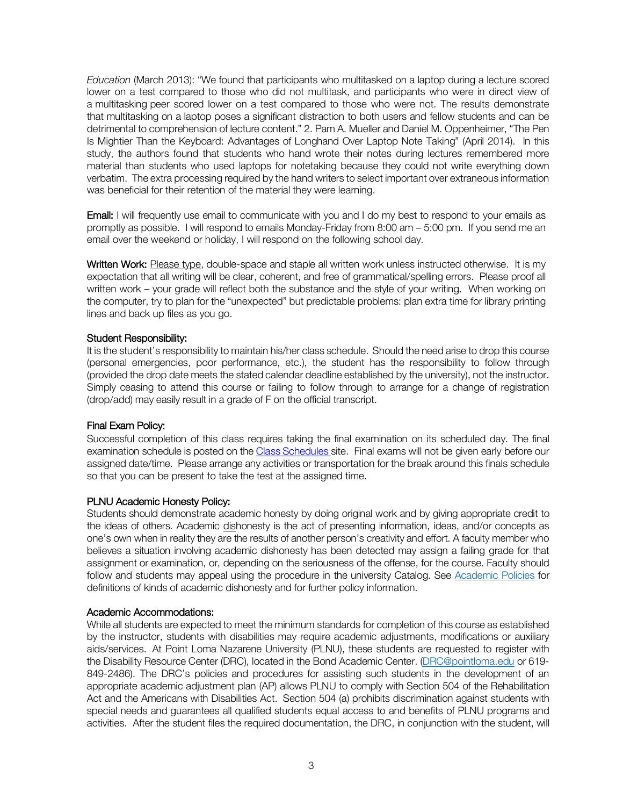*Education* (March 2013): "We found that participants who multitasked on a laptop during a lecture scored lower on a test compared to those who did not multitask, and participants who were in direct view of a multitasking peer scored lower on a test compared to those who were not. The results demonstrate that multitasking on a laptop poses a significant distraction to both users and fellow students and can be detrimental to comprehension of lecture content." 2. Pam A. Mueller and Daniel M. Oppenheimer, "The Pen Is Mightier Than the Keyboard: Advantages of Longhand Over Laptop Note Taking" (April 2014). In this study, the authors found that students who hand wrote their notes during lectures remembered more material than students who used laptops for notetaking because they could not write everything down verbatim. The extra processing required by the hand writers to select important over extraneous information was beneficial for their retention of the material they were learning.

**Email:** I will frequently use email to communicate with you and I do my best to respond to your emails as promptly as possible. I will respond to emails Monday-Friday from 8:00 am – 5:00 pm. If you send me an email over the weekend or holiday, I will respond on the following school day.

Written Work: Please type, double-space and staple all written work unless instructed otherwise. It is my expectation that all writing will be clear, coherent, and free of grammatical/spelling errors. Please proof all written work – your grade will reflect both the substance and the style of your writing. When working on the computer, try to plan for the "unexpected" but predictable problems: plan extra time for library printing lines and back up files as you go.

#### Student Responsibility:

It is the student's responsibility to maintain his/her class schedule. Should the need arise to drop this course (personal emergencies, poor performance, etc.), the student has the responsibility to follow through (provided the drop date meets the stated calendar deadline established by the university), not the instructor. Simply ceasing to attend this course or failing to follow through to arrange for a change of registration (drop/add) may easily result in a grade of F on the official transcript.

## Final Exam Policy:

Successful completion of this class requires taking the final examination on its scheduled day. The final examination schedule is posted on the Class Schedules site. Final exams will not be given early before our assigned date/time. Please arrange any activities or transportation for the break around this finals schedule so that you can be present to take the test at the assigned time.

#### PLNU Academic Honesty Policy:

Students should demonstrate academic honesty by doing original work and by giving appropriate credit to the ideas of others. Academic dishonesty is the act of presenting information, ideas, and/or concepts as one's own when in reality they are the results of another person's creativity and effort. A faculty member who believes a situation involving academic dishonesty has been detected may assign a failing grade for that assignment or examination, or, depending on the seriousness of the offense, for the course. Faculty should follow and students may appeal using the procedure in the university Catalog. See Academic Policies for definitions of kinds of academic dishonesty and for further policy information.

#### Academic Accommodations:

While all students are expected to meet the minimum standards for completion of this course as established by the instructor, students with disabilities may require academic adjustments, modifications or auxiliary aids/services. At Point Loma Nazarene University (PLNU), these students are requested to register with the Disability Resource Center (DRC), located in the Bond Academic Center. (DRC@pointloma.edu or 619- 849-2486). The DRC's policies and procedures for assisting such students in the development of an appropriate academic adjustment plan (AP) allows PLNU to comply with Section 504 of the Rehabilitation Act and the Americans with Disabilities Act. Section 504 (a) prohibits discrimination against students with special needs and guarantees all qualified students equal access to and benefits of PLNU programs and activities. After the student files the required documentation, the DRC, in conjunction with the student, will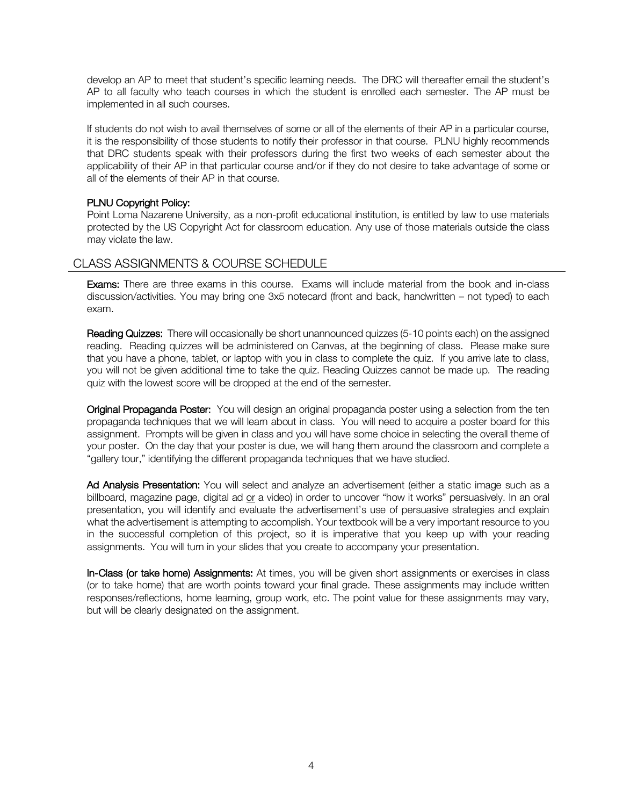develop an AP to meet that student's specific learning needs. The DRC will thereafter email the student's AP to all faculty who teach courses in which the student is enrolled each semester. The AP must be implemented in all such courses.

If students do not wish to avail themselves of some or all of the elements of their AP in a particular course, it is the responsibility of those students to notify their professor in that course. PLNU highly recommends that DRC students speak with their professors during the first two weeks of each semester about the applicability of their AP in that particular course and/or if they do not desire to take advantage of some or all of the elements of their AP in that course.

## PLNU Copyright Policy:

Point Loma Nazarene University, as a non-profit educational institution, is entitled by law to use materials protected by the US Copyright Act for classroom education. Any use of those materials outside the class may violate the law.

# CLASS ASSIGNMENTS & COURSE SCHEDULE

Exams: There are three exams in this course. Exams will include material from the book and in-class discussion/activities. You may bring one 3x5 notecard (front and back, handwritten – not typed) to each exam.

Reading Quizzes: There will occasionally be short unannounced quizzes (5-10 points each) on the assigned reading. Reading quizzes will be administered on Canvas, at the beginning of class. Please make sure that you have a phone, tablet, or laptop with you in class to complete the quiz. If you arrive late to class, you will not be given additional time to take the quiz. Reading Quizzes cannot be made up. The reading quiz with the lowest score will be dropped at the end of the semester.

Original Propaganda Poster: You will design an original propaganda poster using a selection from the ten propaganda techniques that we will learn about in class. You will need to acquire a poster board for this assignment. Prompts will be given in class and you will have some choice in selecting the overall theme of your poster. On the day that your poster is due, we will hang them around the classroom and complete a "gallery tour," identifying the different propaganda techniques that we have studied.

Ad Analysis Presentation: You will select and analyze an advertisement (either a static image such as a billboard, magazine page, digital ad or a video) in order to uncover "how it works" persuasively. In an oral presentation, you will identify and evaluate the advertisement's use of persuasive strategies and explain what the advertisement is attempting to accomplish. Your textbook will be a very important resource to you in the successful completion of this project, so it is imperative that you keep up with your reading assignments. You will turn in your slides that you create to accompany your presentation.

In-Class (or take home) Assignments: At times, you will be given short assignments or exercises in class (or to take home) that are worth points toward your final grade. These assignments may include written responses/reflections, home learning, group work, etc. The point value for these assignments may vary, but will be clearly designated on the assignment.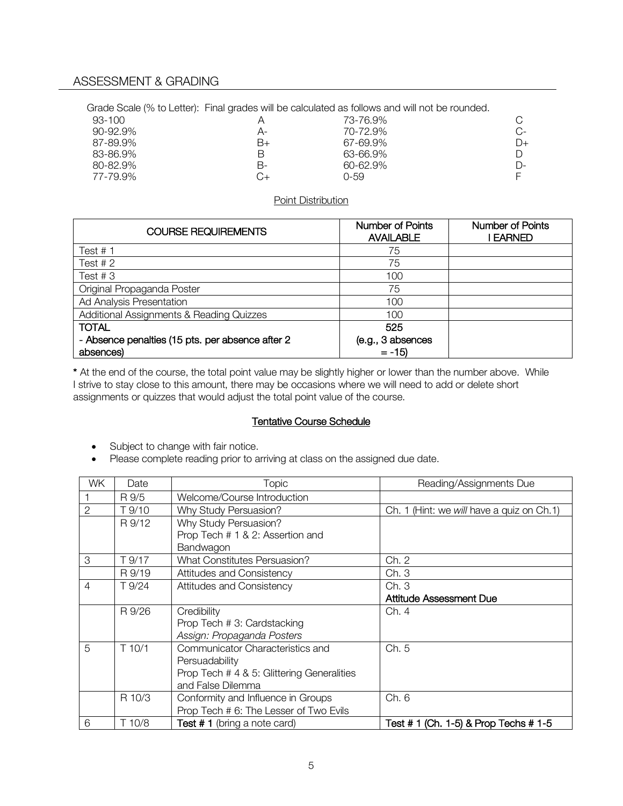Grade Scale (% to Letter): Final grades will be calculated as follows and will not be rounded.

| 93-100        |    | 73-76.9%     |    |
|---------------|----|--------------|----|
| $90 - 92.9\%$ | А- | 70-72.9%     | C- |
| 87-89.9%      | B+ | 67-69.9%     | D+ |
| 83-86.9%      | В  | 63-66.9%     |    |
| 80-82.9%      | В- | $60 - 62.9%$ | D- |
| 77-79.9%      | C+ | 0-59         |    |
|               |    |              |    |

#### Point Distribution

| <b>COURSE REQUIREMENTS</b>                       | <b>Number of Points</b><br><b>AVAILABLE</b> | <b>Number of Points</b><br>I EARNED |
|--------------------------------------------------|---------------------------------------------|-------------------------------------|
| Test $# 1$                                       | 75                                          |                                     |
| Test $# 2$                                       | 75                                          |                                     |
| Test $#3$                                        | 100                                         |                                     |
| Original Propaganda Poster                       | 75                                          |                                     |
| Ad Analysis Presentation                         | 100                                         |                                     |
| Additional Assignments & Reading Quizzes         | 100                                         |                                     |
| <b>TOTAL</b>                                     | 525                                         |                                     |
| - Absence penalties (15 pts. per absence after 2 | (e.g., 3 absences                           |                                     |
| absences)                                        | $= -15$                                     |                                     |

\* At the end of the course, the total point value may be slightly higher or lower than the number above. While I strive to stay close to this amount, there may be occasions where we will need to add or delete short assignments or quizzes that would adjust the total point value of the course.

## Tentative Course Schedule

- Subject to change with fair notice.
- Please complete reading prior to arriving at class on the assigned due date.

| WK.            | Date   | Topic                                      | Reading/Assignments Due                    |
|----------------|--------|--------------------------------------------|--------------------------------------------|
|                | R 9/5  | Welcome/Course Introduction                |                                            |
| $\overline{2}$ | T 9/10 | Why Study Persuasion?                      | Ch. 1 (Hint: we will have a quiz on Ch. 1) |
|                | R 9/12 | Why Study Persuasion?                      |                                            |
|                |        | Prop Tech # 1 & 2: Assertion and           |                                            |
|                |        | Bandwagon                                  |                                            |
| 3              | T 9/17 | <b>What Constitutes Persuasion?</b>        | Ch. 2                                      |
|                | R 9/19 | Attitudes and Consistency                  | Ch. 3                                      |
| $\overline{4}$ | T 9/24 | Attitudes and Consistency                  | Ch.3                                       |
|                |        |                                            | <b>Attitude Assessment Due</b>             |
|                | R 9/26 | Credibility                                | Ch. 4                                      |
|                |        | Prop Tech # 3: Cardstacking                |                                            |
|                |        | Assign: Propaganda Posters                 |                                            |
| 5              | T 10/1 | Communicator Characteristics and           | Ch. 5                                      |
|                |        | Persuadability                             |                                            |
|                |        | Prop Tech # 4 & 5: Glittering Generalities |                                            |
|                |        | and False Dilemma                          |                                            |
|                | R 10/3 | Conformity and Influence in Groups         | Ch. 6                                      |
|                |        | Prop Tech # 6: The Lesser of Two Evils     |                                            |
| 6              | T 10/8 | Test #1 (bring a note card)                | Test # 1 (Ch. 1-5) & Prop Techs # 1-5      |